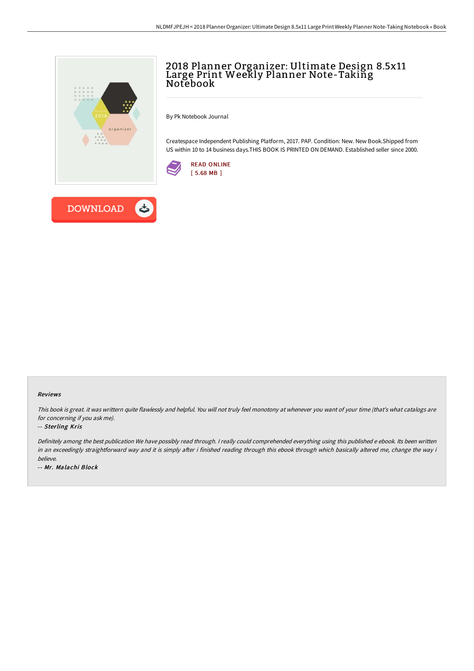

# 2018 Planner Organizer: Ultimate Design 8.5x11 Large Print Weekly Planner Note-Takiñg<br>Notebook

By Pk Notebook Journal

Createspace Independent Publishing Platform, 2017. PAP. Condition: New. New Book.Shipped from US within 10 to 14 business days.THIS BOOK IS PRINTED ON DEMAND. Established seller since 2000.





#### Reviews

This book is great. it was writtern quite flawlessly and helpful. You will not truly feel monotony at whenever you want of your time (that's what catalogs are for concerning if you ask me).

#### -- Sterling Kris

Definitely among the best publication We have possibly read through. <sup>I</sup> really could comprehended everything using this published <sup>e</sup> ebook. Its been written in an exceedingly straightforward way and it is simply after i finished reading through this ebook through which basically altered me, change the way i believe.

-- Mr. Malachi Block